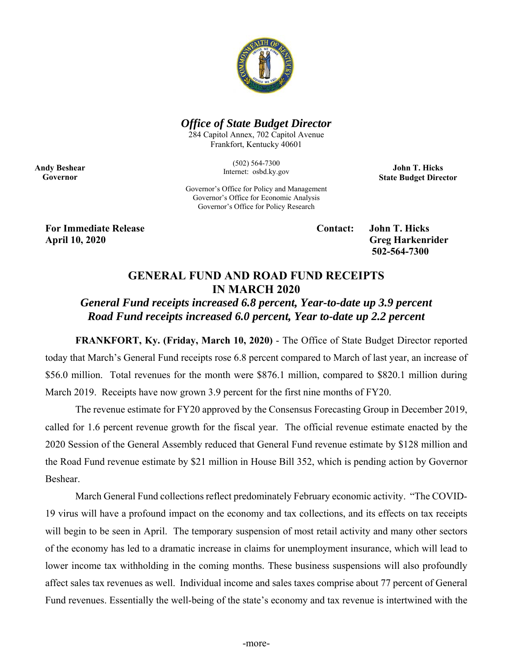

### *Office of State Budget Director*

284 Capitol Annex, 702 Capitol Avenue Frankfort, Kentucky 40601

> (502) 564-7300 Internet: osbd.ky.gov

**John T. Hicks State Budget Director** 

Governor's Office for Policy and Management Governor's Office for Economic Analysis Governor's Office for Policy Research

**For Immediate Release Contact: John T. Hicks April 10, 2020 Greg Harkenrider** 

**Andy Beshear Governor** 

 **502-564-7300** 

# **GENERAL FUND AND ROAD FUND RECEIPTS IN MARCH 2020**

# *General Fund receipts increased 6.8 percent, Year-to-date up 3.9 percent Road Fund receipts increased 6.0 percent, Year to-date up 2.2 percent*

**FRANKFORT, Ky. (Friday, March 10, 2020)** - The Office of State Budget Director reported today that March's General Fund receipts rose 6.8 percent compared to March of last year, an increase of \$56.0 million. Total revenues for the month were \$876.1 million, compared to \$820.1 million during March 2019. Receipts have now grown 3.9 percent for the first nine months of FY20.

The revenue estimate for FY20 approved by the Consensus Forecasting Group in December 2019, called for 1.6 percent revenue growth for the fiscal year. The official revenue estimate enacted by the 2020 Session of the General Assembly reduced that General Fund revenue estimate by \$128 million and the Road Fund revenue estimate by \$21 million in House Bill 352, which is pending action by Governor Beshear.

 March General Fund collections reflect predominately February economic activity. "The COVID-19 virus will have a profound impact on the economy and tax collections, and its effects on tax receipts will begin to be seen in April. The temporary suspension of most retail activity and many other sectors of the economy has led to a dramatic increase in claims for unemployment insurance, which will lead to lower income tax withholding in the coming months. These business suspensions will also profoundly affect sales tax revenues as well. Individual income and sales taxes comprise about 77 percent of General Fund revenues. Essentially the well-being of the state's economy and tax revenue is intertwined with the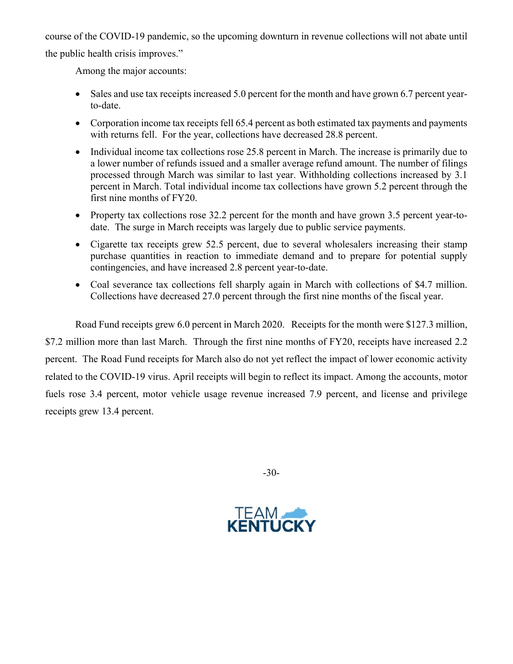course of the COVID-19 pandemic, so the upcoming downturn in revenue collections will not abate until the public health crisis improves."

Among the major accounts:

- Sales and use tax receipts increased 5.0 percent for the month and have grown 6.7 percent yearto-date.
- Corporation income tax receipts fell 65.4 percent as both estimated tax payments and payments with returns fell. For the year, collections have decreased 28.8 percent.
- Individual income tax collections rose 25.8 percent in March. The increase is primarily due to a lower number of refunds issued and a smaller average refund amount. The number of filings processed through March was similar to last year. Withholding collections increased by 3.1 percent in March. Total individual income tax collections have grown 5.2 percent through the first nine months of FY20.
- Property tax collections rose 32.2 percent for the month and have grown 3.5 percent year-todate. The surge in March receipts was largely due to public service payments.
- Cigarette tax receipts grew 52.5 percent, due to several wholesalers increasing their stamp purchase quantities in reaction to immediate demand and to prepare for potential supply contingencies, and have increased 2.8 percent year-to-date.
- Coal severance tax collections fell sharply again in March with collections of \$4.7 million. Collections have decreased 27.0 percent through the first nine months of the fiscal year.

Road Fund receipts grew 6.0 percent in March 2020. Receipts for the month were \$127.3 million, \$7.2 million more than last March. Through the first nine months of FY20, receipts have increased 2.2 percent. The Road Fund receipts for March also do not yet reflect the impact of lower economic activity related to the COVID-19 virus. April receipts will begin to reflect its impact. Among the accounts, motor fuels rose 3.4 percent, motor vehicle usage revenue increased 7.9 percent, and license and privilege receipts grew 13.4 percent.

-30-

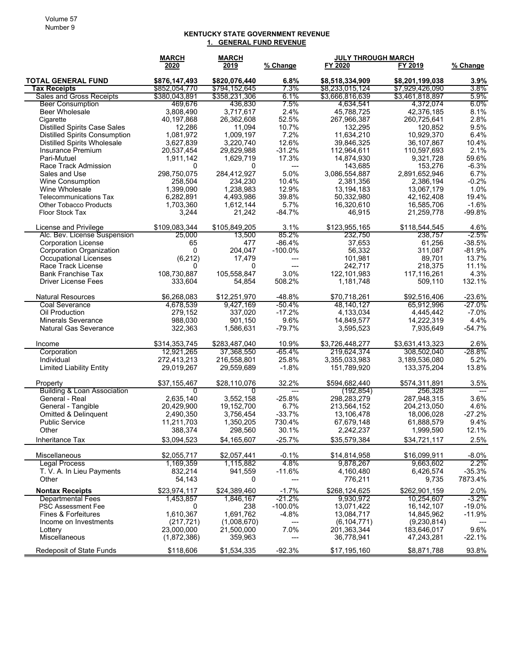#### **KENTUCKY STATE GOVERNMENT REVENUE 1. GENERAL FUND REVENUE**

|                                                                             | <b>MARCH</b>        | <b>MARCH</b>        |                       |                          | <b>JULY THROUGH MARCH</b> |              |
|-----------------------------------------------------------------------------|---------------------|---------------------|-----------------------|--------------------------|---------------------------|--------------|
|                                                                             | 2020                | 2019                | % Change              | FY 2020                  | FY 2019                   | % Change     |
| <b>TOTAL GENERAL FUND</b>                                                   | \$876,147,493       | \$820,076,440       | $6.8\%$               | \$8,518,334,909          | \$8,201,199,038           | $3.9\%$      |
| <b>Tax Receipts</b>                                                         | \$852,054,770       | \$794,152,645       | 7.3%                  | \$8,233,015,124          | \$7,929,426,090           | $3.8\%$      |
| <b>Sales and Gross Receipts</b>                                             | \$380,043,891       | \$358,231,306       | 6.1%                  | \$3,666,816,639          | \$3,461,818,897           | $5.9\%$      |
| <b>Beer Consumption</b>                                                     | 469,676             | 436,830             | $7.5\%$               | 4,634,541                | 4,372,074                 | 6.0%         |
| <b>Beer Wholesale</b>                                                       | 3,808,490           | 3,717,617           | 2.4%                  | 45.788.725               | 42,376,185                | 8.1%         |
| Cigarette                                                                   | 40,197,868          | 26,362,608          | 52.5%                 | 267,966,387              | 260,725,641               | 2.8%         |
| <b>Distilled Spirits Case Sales</b><br><b>Distilled Spirits Consumption</b> | 12,286<br>1,081,972 | 11,094<br>1,009,197 | 10.7%<br>7.2%         | 132,295<br>11,634,210    | 120,852<br>10,929,370     | 9.5%<br>6.4% |
| <b>Distilled Spirits Wholesale</b>                                          | 3,627,839           | 3,220,740           | 12.6%                 | 39,846,325               | 36,107,867                | 10.4%        |
| <b>Insurance Premium</b>                                                    | 20,537,454          | 29,829,988          | $-31.2%$              | 112,964,611              | 110,597,693               | 2.1%         |
| Pari-Mutuel                                                                 | 1,911,142           | 1,629,719           | 17.3%                 | 14,874,930               | 9,321,728                 | 59.6%        |
| Race Track Admission                                                        | 0                   | 0                   | ---                   | 143,685                  | 153,276                   | $-6.3%$      |
| Sales and Use                                                               | 298,750,075         | 284.412.927         | 5.0%                  | 3,086,554,887            | 2,891,652,946             | 6.7%         |
| <b>Wine Consumption</b>                                                     | 258,504             | 234,230             | 10.4%                 | 2,381,356                | 2,386,194                 | $-0.2%$      |
| Wine Wholesale                                                              | 1,399,090           | 1,238,983           | 12.9%                 | 13,194,183               | 13,067,179                | 1.0%         |
| Telecommunications Tax                                                      | 6,282,891           | 4,493,986           | 39.8%                 | 50,332,980               | 42,162,408                | 19.4%        |
| <b>Other Tobacco Products</b>                                               | 1,703,360           | 1,612,144           | 5.7%                  | 16,320,610               | 16,585,706                | $-1.6%$      |
| Floor Stock Tax                                                             | 3,244               | 21,242              | $-84.7%$              | 46,915                   | 21,259,778                | $-99.8%$     |
| License and Privilege                                                       | \$109,083,344       | \$105,849,205       | 3.1%                  | \$123,955,165            | \$118,544,545             | 4.6%         |
| Alc. Bev. License Suspension                                                | 25,000              | 13,500              | 85.2%                 | 232,750                  | 238,757                   | $-2.5%$      |
| <b>Corporation License</b>                                                  | 65                  | 477                 | $-86.4%$              | 37,653                   | 61,256                    | $-38.5%$     |
| <b>Corporation Organization</b>                                             | 0                   | 204,047             | $-100.0%$             | 56,332                   | 311,087                   | $-81.9%$     |
| Occupational Licenses                                                       | (6, 212)            | 17,479              | ---                   | 101,981                  | 89,701                    | 13.7%        |
| Race Track License                                                          | 0                   | 0                   | ---                   | 242,717                  | 218,375                   | 11.1%        |
| <b>Bank Franchise Tax</b>                                                   | 108,730,887         | 105,558,847         | 3.0%                  | 122, 101, 983            | 117,116,261               | 4.3%         |
| <b>Driver License Fees</b>                                                  | 333,604             | 54.854              | 508.2%                | 1,181,748                | 509,110                   | 132.1%       |
| <b>Natural Resources</b>                                                    | \$6,268,083         | \$12,251,970        | -48.8%                | \$70,718,261             | \$92,516,406              | $-23.6%$     |
| <b>Coal Severance</b>                                                       | 4,678,539           | 9,427,169           | $-50.4%$              | 48,140,127               | 65,912,996                | $-27.0\%$    |
| Oil Production                                                              | 279,152             | 337,020             | $-17.2%$              | 4,133,034                | 4,445,442                 | $-7.0\%$     |
| <b>Minerals Severance</b>                                                   | 988,030             | 901,150             | 9.6%                  | 14,849,577               | 14,222,319                | 4.4%         |
| <b>Natural Gas Severance</b>                                                | 322,363             | 1,586,631           | $-79.7%$              | 3,595,523                | 7,935,649                 | $-54.7%$     |
| Income                                                                      | \$314,353,745       | \$283,487,040       | 10.9%                 | \$3,726,448,277          | \$3,631,413,323           | 2.6%         |
| Corporation                                                                 | 12,921,265          | 37,368,550          | -65.4%                | 219,624,374              | 308,502,040               | $-28.8\%$    |
| Individual                                                                  | 272,413,213         | 216,558,801         | 25.8%                 | 3,355,033,983            | 3,189,536,080             | 5.2%         |
| <b>Limited Liability Entity</b>                                             | 29,019,267          | 29,559,689          | $-1.8%$               | 151,789,920              | 133,375,204               | 13.8%        |
| Property                                                                    | \$37,155,467        | \$28,110,076        | 32.2%                 | \$594,682,440            | \$574,311,891             | 3.5%         |
| Building & Loan Association                                                 | 0                   | 0                   | ---                   | (192, 854)               | 256,328                   | $---$        |
| General - Real                                                              | 2.635.140           | 3,552,158           | $-25.8%$              | 298.283.279              | 287,948,315               | 3.6%         |
| General - Tangible                                                          | 20,429,900          | 19,152,700          | 6.7%                  | 213,564,152              | 204,213,050               | 4.6%         |
| <b>Omitted &amp; Delinguent</b>                                             | 2,490,350           | 3,756,454           | $-33.7%$              | 13,106,478               | 18,006,028                | $-27.2%$     |
| <b>Public Service</b>                                                       | 11,211,703          | 1,350,205           | 730.4%                | 67,679,148               | 61,888,579                | 9.4%         |
| Other                                                                       | 388,374             | 298,560             | 30.1%                 | 2,242,237                | 1,999,590                 | 12.1%        |
| Inheritance Tax                                                             | \$3,094,523         | \$4,165,607         | $-25.7%$              | \$35,579,384             | \$34,721,117              | 2.5%         |
| Miscellaneous                                                               | \$2,055,717         | \$2,057,441         | $-0.1%$               | \$14,814,958             | \$16,099,911              | $-8.0\%$     |
| Legal Process                                                               | 1,169,359           | 1,115,882           | 4.8%                  | 9,878,267                | 9,663,602                 | $2.2\%$      |
| T. V. A. In Lieu Payments                                                   | 832,214             | 941,559             | $-11.6%$              | 4,160,480                | 6,426,574                 | $-35.3%$     |
| Other                                                                       | 54,143              | 0                   |                       | 776,211                  | 9,735                     | 7873.4%      |
| <b>Nontax Receipts</b>                                                      | \$23,974,117        | \$24,389,460        | $-1.7%$<br>$-21.2%$   | \$268,124,625            | \$262,901,159             | 2.0%         |
| <b>Departmental Fees</b>                                                    | 1,453,857           | 1,846,167           |                       | 9,930,972                | 10,254,607                | $-3.2\%$     |
| <b>PSC Assessment Fee</b><br><b>Fines &amp; Forfeitures</b>                 | 0<br>1,610,367      | 238<br>1,691,762    | $-100.0\%$<br>$-4.8%$ | 13,071,422<br>13,084,717 | 16, 142, 107              | $-19.0%$     |
| Income on Investments                                                       | (217,721)           | (1,008,670)         | ---                   | (6, 104, 771)            | 14,845,962<br>(9,230,814) | $-11.9%$     |
| Lottery                                                                     | 23,000,000          | 21,500,000          | 7.0%                  | 201,363,344              | 183,646,017               | 9.6%         |
| Miscellaneous                                                               | (1,872,386)         | 359,963             | ---                   | 36,778,941               | 47,243,281                | $-22.1%$     |
| Redeposit of State Funds                                                    | \$118,606           | \$1,534,335         | $-92.3%$              | \$17,195,160             | \$8,871,788               | 93.8%        |